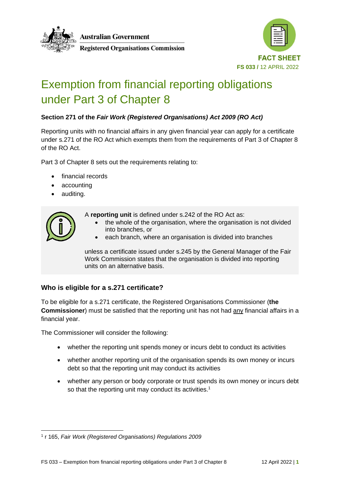

**Australian Government** 

**Registered Organisations Commission** 



# Exemption from financial reporting obligations under Part 3 of Chapter 8

## **Section 271 of the** *Fair Work (Registered Organisations) Act 2009 (RO Act)*

Reporting units with no financial affairs in any given financial year can apply for a certificate under s.271 of the RO Act which exempts them from the requirements of Part 3 of Chapter 8 of the RO Act.

Part 3 of Chapter 8 sets out the requirements relating to:

- financial records
- accounting
- auditing.



A **reporting unit** is defined under s.242 of the RO Act as:

- the whole of the organisation, where the organisation is not divided into branches, or
- each branch, where an organisation is divided into branches

unless a certificate issued under s.245 by the General Manager of the Fair Work Commission states that the organisation is divided into reporting units on an alternative basis.

## **Who is eligible for a s.271 certificate?**

To be eligible for a s.271 certificate, the Registered Organisations Commissioner (**the Commissioner**) must be satisfied that the reporting unit has not had any financial affairs in a financial year.

The Commissioner will consider the following:

- whether the reporting unit spends money or incurs debt to conduct its activities
- whether another reporting unit of the organisation spends its own money or incurs debt so that the reporting unit may conduct its activities
- whether any person or body corporate or trust spends its own money or incurs debt so that the reporting unit may conduct its activities.<sup>1</sup>

<sup>1</sup> r 165, *Fair Work (Registered Organisations) Regulations 2009*